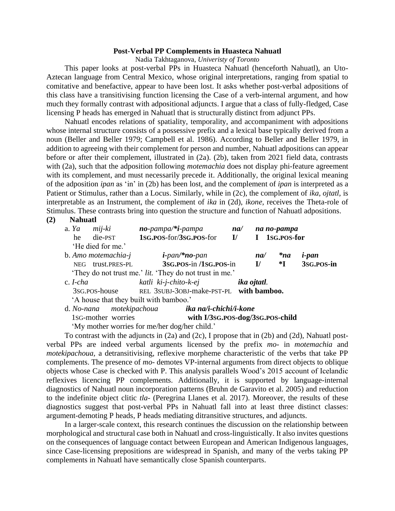## **Post-Verbal PP Complements in Huasteca Nahuatl**

Nadia Takhtaganova, *Univeristy of Toronto*

This paper looks at post-verbal PPs in Huasteca Nahuatl (henceforth Nahuatl), an Uto-Aztecan language from Central Mexico, whose original interpretations, ranging from spatial to comitative and benefactive, appear to have been lost. It asks whether post-verbal adpositions of this class have a transitivising function licensing the Case of a verb-internal argument, and how much they formally contrast with adpositional adjuncts. I argue that a class of fully-fledged, Case licensing P heads has emerged in Nahuatl that is structurally distinct from adjunct PPs.

Nahuatl encodes relations of spatiality, temporality, and accompaniment with adpositions whose internal structure consists of a possessive prefix and a lexical base typically derived from a noun (Beller and Beller 1979; Campbell et al. 1986). According to Beller and Beller 1979, in addition to agreeing with their complement for person and number, Nahuatl adpositions can appear before or after their complement, illustrated in (2a). (2b), taken from 2021 field data, contrasts with (2a), such that the adposition following *motemachia* does not display phi-feature agreement with its complement, and must necessarily precede it. Additionally, the original lexical meaning of the adposition *ipan* as 'in' in (2b) has been lost, and the complement of *ipan* is interpreted as a Patient or Stimulus, rather than a Locus. Similarly, while in (2c), the complement of *ika, ojtatl,* is interpretable as an Instrument, the complement of *ika* in (2d), *ikone,* receives the Theta-role of Stimulus. These contrasts bring into question the structure and function of Nahuatl adpositions.

**(2) Nahuatl** 

|                                                         | a. Ya mij-ki        | no-pampa/*i-pampa                                      | na/                                      |              | na no-pampa  |              |
|---------------------------------------------------------|---------------------|--------------------------------------------------------|------------------------------------------|--------------|--------------|--------------|
| he                                                      | die-PST             | 1sg.pos-for/3sg.pos-for                                | 1sg.pos-for<br>$\mathbf{I}/$<br>$\bf{I}$ |              |              |              |
| 'He died for me.'                                       |                     |                                                        |                                          |              |              |              |
|                                                         | b. Amo motemachia-j | $i$ -pan/*no-pan                                       |                                          | na/          | $*na$        | <i>i-pan</i> |
|                                                         | NEG trust.PRES-PL   | 3sg.pos-in/1sg.pos-in                                  |                                          | $\mathbf{I}$ | $\mathbf{F}$ | 3sg.pos-in   |
| 'They do not trust me.' lit. 'They do not trust in me.' |                     |                                                        |                                          |              |              |              |
| $c.$ <i>I-cha</i>                                       |                     | katli ki-j-chito-k-ej                                  |                                          | ika ojtatl.  |              |              |
|                                                         |                     | 3SG.POS-house REL 3SUBJ-30BJ-make-PST-PL with bamboo.  |                                          |              |              |              |
|                                                         |                     | 'A house that they built with bamboo.'                 |                                          |              |              |              |
|                                                         |                     | d. No-nana motekipachoua <b>ika na/i-chichi/i-kone</b> |                                          |              |              |              |
|                                                         | 1sG-mother worries  | with I/3sG.POS-dog/3sG.POS-child                       |                                          |              |              |              |

'My mother worries for me/her dog/her child.'

To contrast with the adjuncts in (2a) and (2c), I propose that in (2b) and (2d), Nahuatl postverbal PPs are indeed verbal arguments licensed by the prefix *mo-* in *motemachia* and *motekipachoua,* a detransitivising, reflexive morpheme characteristic of the verbs that take PP complements. The presence of *mo-* demotes VP-internal arguments from direct objects to oblique objects whose Case is checked with P. This analysis parallels Wood's 2015 account of Icelandic reflexives licencing PP complements. Additionally, it is supported by language-internal diagnostics of Nahuatl noun incorporation patterns (Bruhn de Garavito et al. 2005) and reduction to the indefinite object clitic *tla-* (Peregrina Llanes et al. 2017). Moreover, the results of these diagnostics suggest that post-verbal PPs in Nahuatl fall into at least three distinct classes: argument-demoting P heads, P heads mediating ditransitive structures, and adjuncts.

In a larger-scale context, this research continues the discussion on the relationship between morphological and structural case both in Nahuatl and cross-linguistically. It also invites questions on the consequences of language contact between European and American Indigenous languages, since Case-licensing prepositions are widespread in Spanish, and many of the verbs taking PP complements in Nahuatl have semantically close Spanish counterparts.